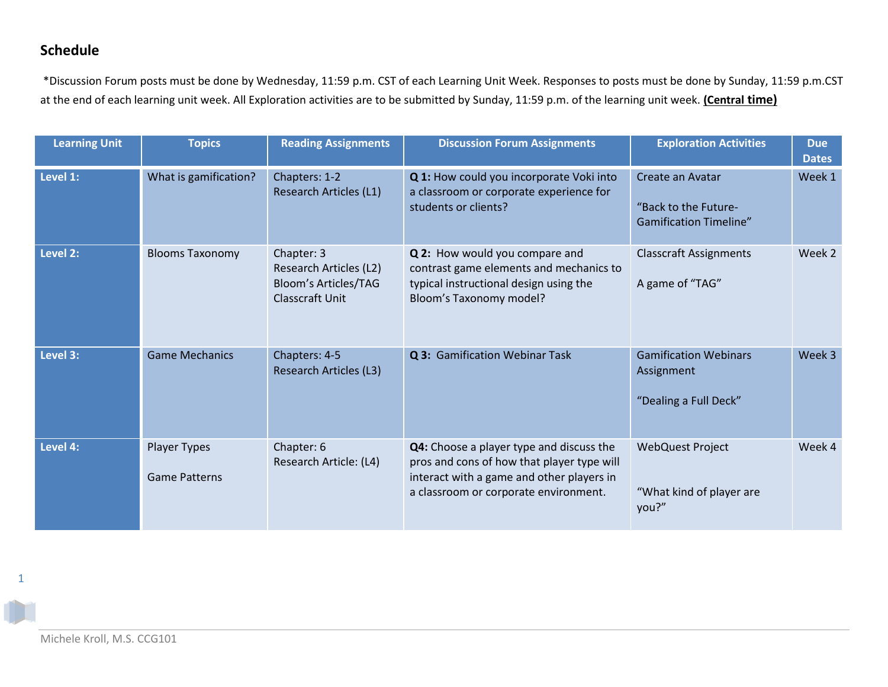## **Schedule**

\*Discussion Forum posts must be done by Wednesday, 11:59 p.m. CST of each Learning Unit Week. Responses to posts must be done by Sunday, 11:59 p.m.CST at the end of each learning unit week. All Exploration activities are to be submitted by Sunday, 11:59 p.m. of the learning unit week. **(Central time)**

| <b>Learning Unit</b> | <b>Topics</b>                        | <b>Reading Assignments</b>                                                             | <b>Discussion Forum Assignments</b>                                                                                                                                          | <b>Exploration Activities</b>                                             | <b>Due</b><br><b>Dates</b> |
|----------------------|--------------------------------------|----------------------------------------------------------------------------------------|------------------------------------------------------------------------------------------------------------------------------------------------------------------------------|---------------------------------------------------------------------------|----------------------------|
| Level 1:             | What is gamification?                | Chapters: 1-2<br>Research Articles (L1)                                                | Q 1: How could you incorporate Voki into<br>a classroom or corporate experience for<br>students or clients?                                                                  | Create an Avatar<br>"Back to the Future-<br><b>Gamification Timeline"</b> | Week 1                     |
| Level 2:             | <b>Blooms Taxonomy</b>               | Chapter: 3<br>Research Articles (L2)<br>Bloom's Articles/TAG<br><b>Classcraft Unit</b> | Q 2: How would you compare and<br>contrast game elements and mechanics to<br>typical instructional design using the<br>Bloom's Taxonomy model?                               | <b>Classcraft Assignments</b><br>A game of "TAG"                          | Week 2                     |
| Level 3:             | <b>Game Mechanics</b>                | Chapters: 4-5<br><b>Research Articles (L3)</b>                                         | Q 3: Gamification Webinar Task                                                                                                                                               | <b>Gamification Webinars</b><br>Assignment<br>"Dealing a Full Deck"       | Week 3                     |
| Level 4:             | Player Types<br><b>Game Patterns</b> | Chapter: 6<br>Research Article: (L4)                                                   | Q4: Choose a player type and discuss the<br>pros and cons of how that player type will<br>interact with a game and other players in<br>a classroom or corporate environment. | <b>WebQuest Project</b><br>"What kind of player are<br>you?"              | Week 4                     |

1